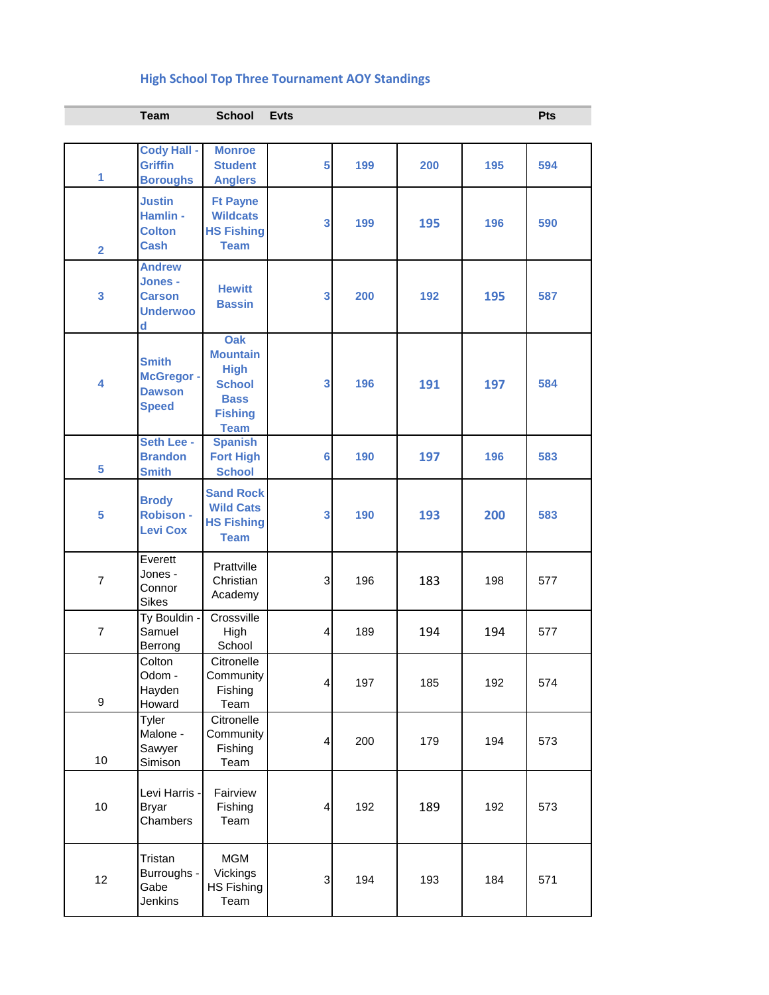## **High School Top Three Tournament AOY Standings**

|                | <b>Team</b>                                                       | <b>School</b>                                                                                          | <b>Evts</b>             |     |     |     | <b>Pts</b> |
|----------------|-------------------------------------------------------------------|--------------------------------------------------------------------------------------------------------|-------------------------|-----|-----|-----|------------|
|                |                                                                   |                                                                                                        |                         |     |     |     |            |
| 1              | <b>Cody Hall -</b><br><b>Griffin</b><br><b>Boroughs</b>           | <b>Monroe</b><br><b>Student</b><br><b>Anglers</b>                                                      | 5                       | 199 | 200 | 195 | 594        |
| $\overline{2}$ | <b>Justin</b><br>Hamlin -<br><b>Colton</b><br><b>Cash</b>         | <b>Ft Payne</b><br><b>Wildcats</b><br><b>HS Fishing</b><br><b>Team</b>                                 | 3                       | 199 | 195 | 196 | 590        |
| 3              | <b>Andrew</b><br>Jones -<br><b>Carson</b><br><b>Underwoo</b><br>d | <b>Hewitt</b><br><b>Bassin</b>                                                                         | 3                       | 200 | 192 | 195 | 587        |
| 4              | <b>Smith</b><br>McGregor -<br><b>Dawson</b><br><b>Speed</b>       | Oak<br><b>Mountain</b><br><b>High</b><br><b>School</b><br><b>Bass</b><br><b>Fishing</b><br><b>Team</b> | 3                       | 196 | 191 | 197 | 584        |
| 5              | Seth Lee -<br><b>Brandon</b><br><b>Smith</b>                      | <b>Spanish</b><br><b>Fort High</b><br><b>School</b>                                                    | 6                       | 190 | 197 | 196 | 583        |
| 5              | <b>Brody</b><br><b>Robison -</b><br><b>Levi Cox</b>               | <b>Sand Rock</b><br><b>Wild Cats</b><br><b>HS Fishing</b><br><b>Team</b>                               | 3                       | 190 | 193 | 200 | 583        |
| $\overline{7}$ | Everett<br>Jones -<br>Connor<br>Sikes                             | Prattville<br>Christian<br>Academy                                                                     | 3                       | 196 | 183 | 198 | 577        |
| $\overline{7}$ | Ty Bouldin -<br>Samuel<br>Berrong                                 | Crossville<br>High<br>School                                                                           | $\overline{\mathbf{r}}$ | 189 | 194 | 194 | 577        |
| 9              | Colton<br>Odom -<br>Hayden<br>Howard                              | Citronelle<br>Community<br>Fishing<br>Team                                                             | $\overline{\mathbf{4}}$ | 197 | 185 | 192 | 574        |
| 10             | Tyler<br>Malone -<br>Sawyer<br>Simison                            | Citronelle<br>Community<br>Fishing<br>Team                                                             | $\overline{4}$          | 200 | 179 | 194 | 573        |
| 10             | Levi Harris -<br><b>Bryar</b><br>Chambers                         | Fairview<br>Fishing<br>Team                                                                            | $\overline{\mathbf{4}}$ | 192 | 189 | 192 | 573        |
| 12             | Tristan<br>Burroughs -<br>Gabe<br>Jenkins                         | <b>MGM</b><br>Vickings<br>HS Fishing<br>Team                                                           | 3                       | 194 | 193 | 184 | 571        |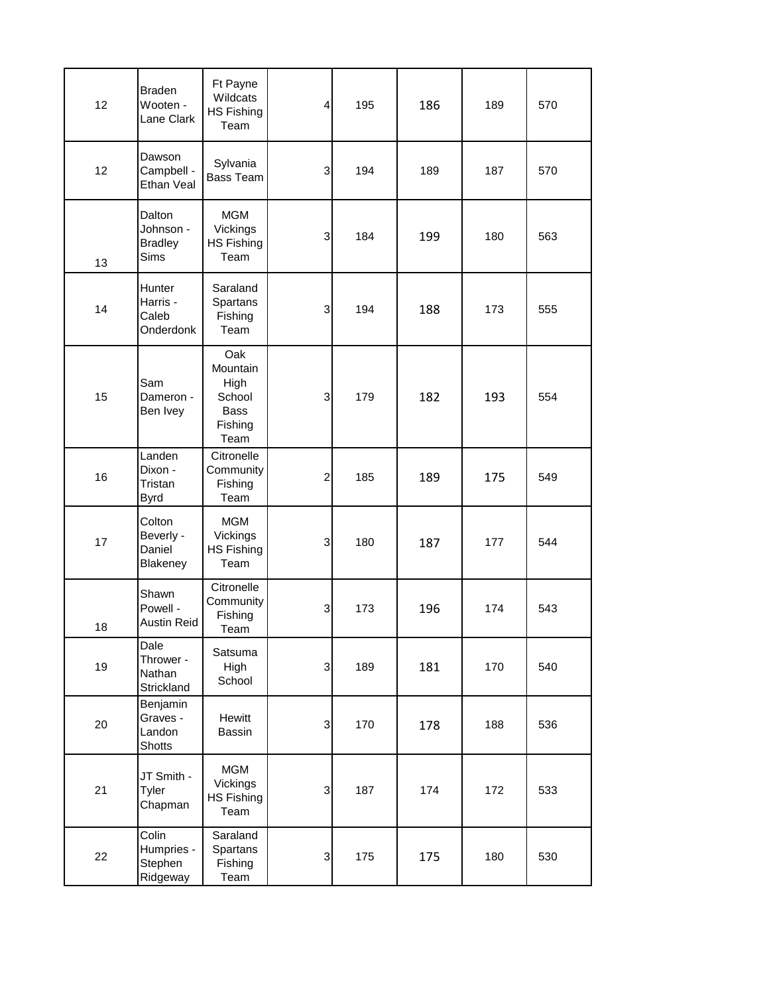| 12 | <b>Braden</b><br>Wooten -<br>Lane Clark              | Ft Payne<br>Wildcats<br>HS Fishing<br>Team                          | $\overline{4}$            | 195 | 186 | 189 | 570 |
|----|------------------------------------------------------|---------------------------------------------------------------------|---------------------------|-----|-----|-----|-----|
| 12 | Dawson<br>Campbell -<br>Ethan Veal                   | Sylvania<br><b>Bass Team</b>                                        | $\ensuremath{\mathsf{3}}$ | 194 | 189 | 187 | 570 |
| 13 | Dalton<br>Johnson -<br><b>Bradley</b><br><b>Sims</b> | <b>MGM</b><br>Vickings<br>HS Fishing<br>Team                        | 3                         | 184 | 199 | 180 | 563 |
| 14 | Hunter<br>Harris -<br>Caleb<br>Onderdonk             | Saraland<br>Spartans<br>Fishing<br>Team                             | $\ensuremath{\mathsf{3}}$ | 194 | 188 | 173 | 555 |
| 15 | Sam<br>Dameron -<br>Ben Ivey                         | Oak<br>Mountain<br>High<br>School<br><b>Bass</b><br>Fishing<br>Team | $\ensuremath{\mathsf{3}}$ | 179 | 182 | 193 | 554 |
| 16 | Landen<br>Dixon -<br>Tristan<br><b>Byrd</b>          | Citronelle<br>Community<br>Fishing<br>Team                          | $\overline{\mathbf{c}}$   | 185 | 189 | 175 | 549 |
| 17 | Colton<br>Beverly -<br>Daniel<br>Blakeney            | <b>MGM</b><br>Vickings<br><b>HS Fishing</b><br>Team                 | $\mathsf 3$               | 180 | 187 | 177 | 544 |
| 18 | Shawn<br>Powell -<br><b>Austin Reid</b>              | Citronelle<br>Community<br>Fishing<br>Team                          | 3                         | 173 | 196 | 174 | 543 |
| 19 | Dale<br>Thrower -<br>Nathan<br>Strickland            | Satsuma<br>High<br>School                                           | $\mathsf 3$               | 189 | 181 | 170 | 540 |
| 20 | Benjamin<br>Graves -<br>Landon<br>Shotts             | Hewitt<br>Bassin                                                    | $\ensuremath{\mathsf{3}}$ | 170 | 178 | 188 | 536 |
| 21 | JT Smith -<br>Tyler<br>Chapman                       | <b>MGM</b><br>Vickings<br><b>HS Fishing</b><br>Team                 | $\overline{3}$            | 187 | 174 | 172 | 533 |
| 22 | Colin<br>Humpries -<br>Stephen<br>Ridgeway           | Saraland<br>Spartans<br>Fishing<br>Team                             | $\ensuremath{\mathsf{3}}$ | 175 | 175 | 180 | 530 |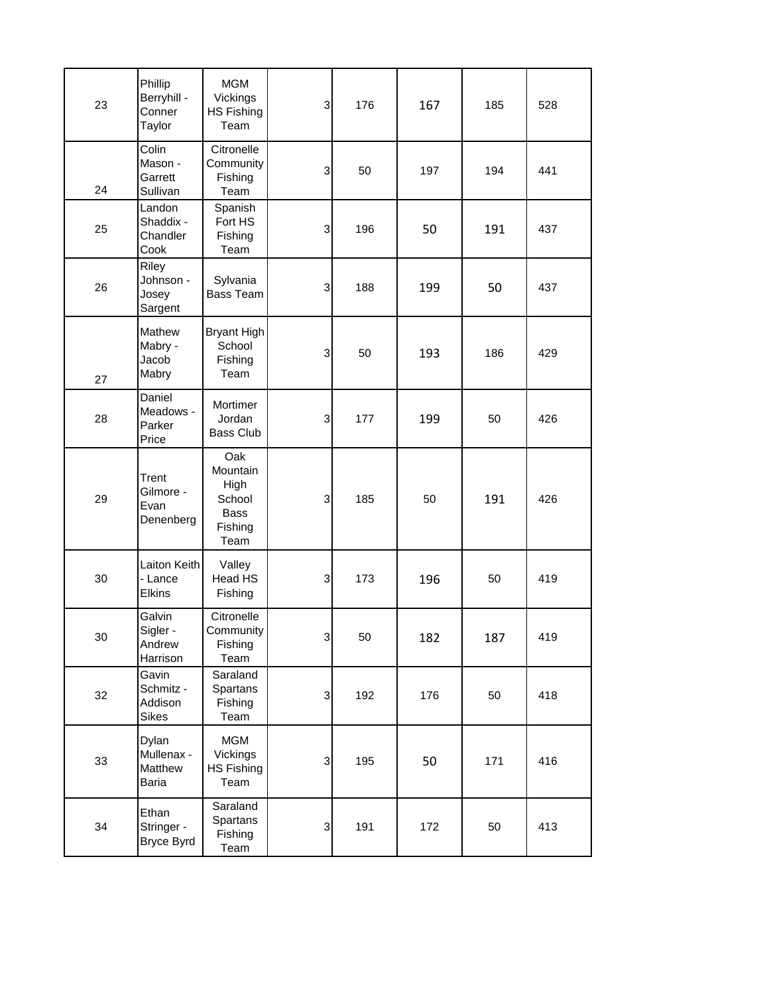| 23 | Phillip<br>Berryhill -<br>Conner<br>Taylor    | <b>MGM</b><br>Vickings<br><b>HS Fishing</b><br>Team                 | 3              | 176 | 167 | 185 | 528 |
|----|-----------------------------------------------|---------------------------------------------------------------------|----------------|-----|-----|-----|-----|
| 24 | Colin<br>Mason -<br>Garrett<br>Sullivan       | Citronelle<br>Community<br>Fishing<br>Team                          | 3              | 50  | 197 | 194 | 441 |
| 25 | Landon<br>Shaddix -<br>Chandler<br>Cook       | Spanish<br>Fort HS<br>Fishing<br>Team                               | 3              | 196 | 50  | 191 | 437 |
| 26 | Riley<br>Johnson -<br>Josey<br>Sargent        | Sylvania<br><b>Bass Team</b>                                        | 3              | 188 | 199 | 50  | 437 |
| 27 | Mathew<br>Mabry -<br>Jacob<br>Mabry           | Bryant High<br>School<br>Fishing<br>Team                            | 3              | 50  | 193 | 186 | 429 |
| 28 | Daniel<br>Meadows -<br>Parker<br>Price        | Mortimer<br>Jordan<br>Bass Club                                     | 3              | 177 | 199 | 50  | 426 |
| 29 | Trent<br>Gilmore -<br>Evan<br>Denenberg       | Oak<br>Mountain<br>High<br>School<br><b>Bass</b><br>Fishing<br>Team | 3              | 185 | 50  | 191 | 426 |
| 30 | Laiton Keith<br>- Lance<br>Elkins             | Valley<br>Head HS<br>Fishing                                        | 3              | 173 | 196 | 50  | 419 |
| 30 | Galvin<br>Sigler -<br>Andrew<br>Harrison      | Citronelle<br>Community<br>Fishing<br>Team                          | $\mathbf{3}$   | 50  | 182 | 187 | 419 |
| 32 | Gavin<br>Schmitz -<br>Addison<br><b>Sikes</b> | Saraland<br>Spartans<br>Fishing<br>Team                             | $\mathbf{3}$   | 192 | 176 | 50  | 418 |
| 33 | Dylan<br>Mullenax -<br>Matthew<br>Baria       | <b>MGM</b><br>Vickings<br><b>HS Fishing</b><br>Team                 | 3              | 195 | 50  | 171 | 416 |
| 34 | Ethan<br>Stringer -<br>Bryce Byrd             | Saraland<br>Spartans<br>Fishing<br>Team                             | $\overline{3}$ | 191 | 172 | 50  | 413 |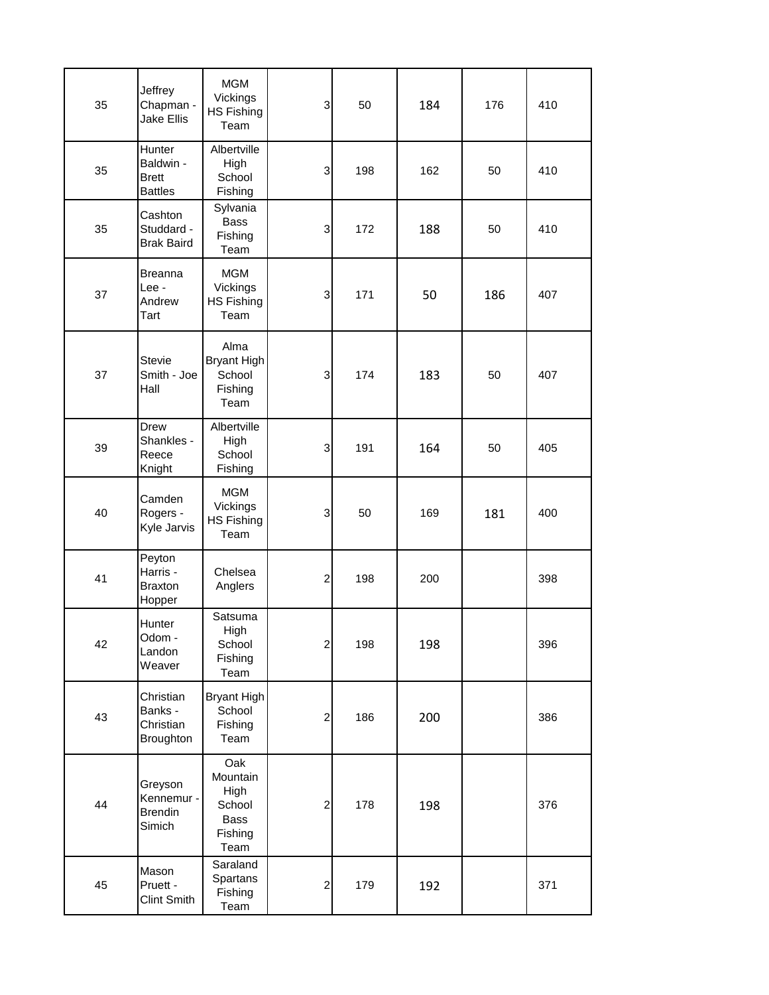| 35 | Jeffrey<br>Chapman -<br><b>Jake Ellis</b>             | <b>MGM</b><br>Vickings<br><b>HS Fishing</b><br>Team          | 3                | 50  | 184 | 176 | 410 |
|----|-------------------------------------------------------|--------------------------------------------------------------|------------------|-----|-----|-----|-----|
| 35 | Hunter<br>Baldwin -<br><b>Brett</b><br><b>Battles</b> | Albertville<br>High<br>School<br>Fishing                     | 3                | 198 | 162 | 50  | 410 |
| 35 | Cashton<br>Studdard -<br><b>Brak Baird</b>            | Sylvania<br><b>Bass</b><br>Fishing<br>Team                   | $\mathsf 3$      | 172 | 188 | 50  | 410 |
| 37 | <b>Breanna</b><br>Lee -<br>Andrew<br>Tart             | <b>MGM</b><br>Vickings<br><b>HS Fishing</b><br>Team          | 3                | 171 | 50  | 186 | 407 |
| 37 | <b>Stevie</b><br>Smith - Joe<br>Hall                  | Alma<br>Bryant High<br>School<br>Fishing<br>Team             | 3                | 174 | 183 | 50  | 407 |
| 39 | Drew<br>Shankles -<br>Reece<br>Knight                 | Albertville<br>High<br>School<br>Fishing                     | 3                | 191 | 164 | 50  | 405 |
| 40 | Camden<br>Rogers -<br>Kyle Jarvis                     | <b>MGM</b><br>Vickings<br><b>HS Fishing</b><br>Team          | 3                | 50  | 169 | 181 | 400 |
| 41 | Peyton<br>Harris -<br><b>Braxton</b><br>Hopper        | Chelsea<br>Anglers                                           | $\overline{c}$   | 198 | 200 |     | 398 |
| 42 | Hunter<br>Odom -<br>Landon<br>Weaver                  | Satsuma<br>High<br>School<br>Fishing<br>Team                 | $\boldsymbol{2}$ | 198 | 198 |     | 396 |
| 43 | Christian<br>Banks -<br>Christian<br>Broughton        | Bryant High<br>School<br>Fishing<br>Team                     | $\overline{c}$   | 186 | 200 |     | 386 |
| 44 | Greyson<br>Kennemur -<br><b>Brendin</b><br>Simich     | Oak<br>Mountain<br>High<br>School<br>Bass<br>Fishing<br>Team | $\overline{c}$   | 178 | 198 |     | 376 |
| 45 | Mason<br>Pruett -<br><b>Clint Smith</b>               | Saraland<br>Spartans<br>Fishing<br>Team                      | $\boldsymbol{2}$ | 179 | 192 |     | 371 |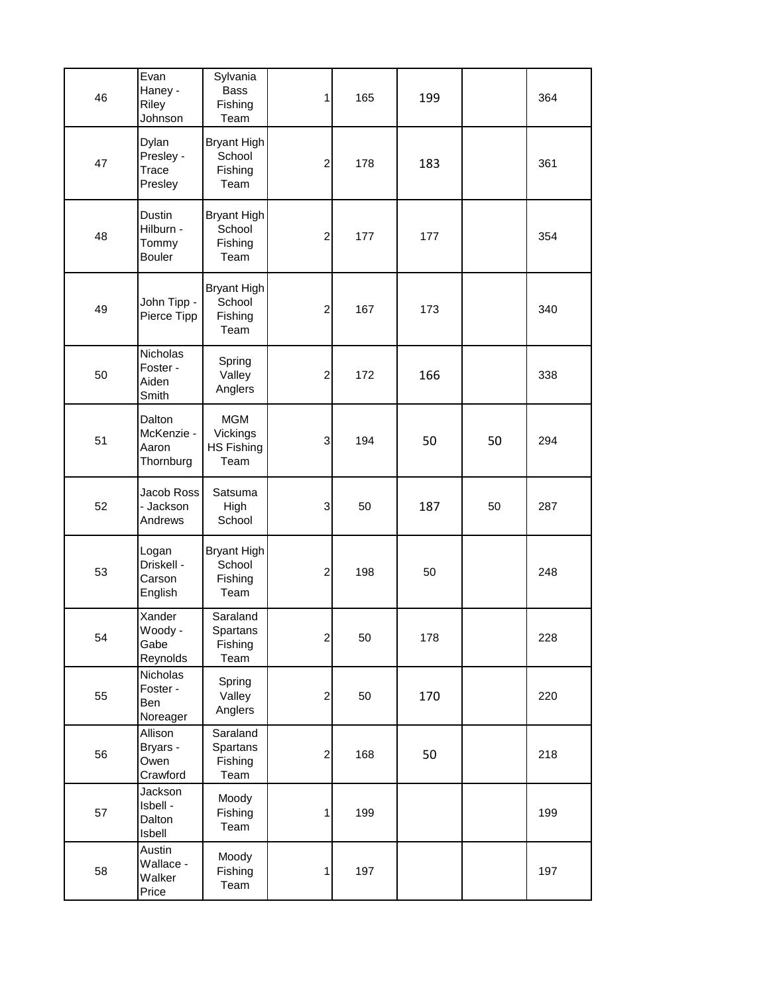| 46 | Evan<br>Haney -<br>Riley<br>Johnson           | Sylvania<br><b>Bass</b><br>Fishing<br>Team          | 1                         | 165 | 199 |    | 364 |
|----|-----------------------------------------------|-----------------------------------------------------|---------------------------|-----|-----|----|-----|
| 47 | Dylan<br>Presley -<br>Trace<br>Presley        | Bryant High<br>School<br>Fishing<br>Team            | $\overline{c}$            | 178 | 183 |    | 361 |
| 48 | Dustin<br>Hilburn -<br>Tommy<br><b>Bouler</b> | Bryant High<br>School<br>Fishing<br>Team            | $\boldsymbol{2}$          | 177 | 177 |    | 354 |
| 49 | John Tipp -<br>Pierce Tipp                    | Bryant High<br>School<br>Fishing<br>Team            | $\boldsymbol{2}$          | 167 | 173 |    | 340 |
| 50 | Nicholas<br>Foster -<br>Aiden<br>Smith        | Spring<br>Valley<br>Anglers                         | $\boldsymbol{2}$          | 172 | 166 |    | 338 |
| 51 | Dalton<br>McKenzie -<br>Aaron<br>Thornburg    | <b>MGM</b><br>Vickings<br><b>HS Fishing</b><br>Team | 3                         | 194 | 50  | 50 | 294 |
| 52 | Jacob Ross<br>- Jackson<br>Andrews            | Satsuma<br>High<br>School                           | $\ensuremath{\mathsf{3}}$ | 50  | 187 | 50 | 287 |
| 53 | Logan<br>Driskell -<br>Carson<br>English      | Bryant High<br>School<br>Fishing<br>Team            | $\overline{c}$            | 198 | 50  |    | 248 |
| 54 | Xander<br>Woody -<br>Gabe<br>Reynolds         | Saraland<br>Spartans<br>Fishing<br>Team             | $\mathbf{2}$              | 50  | 178 |    | 228 |
| 55 | Nicholas<br>Foster -<br>Ben<br>Noreager       | Spring<br>Valley<br>Anglers                         | $\boldsymbol{2}$          | 50  | 170 |    | 220 |
| 56 | Allison<br>Bryars -<br>Owen<br>Crawford       | Saraland<br>Spartans<br>Fishing<br>Team             | $\boldsymbol{2}$          | 168 | 50  |    | 218 |
| 57 | Jackson<br>Isbell -<br>Dalton<br>Isbell       | Moody<br>Fishing<br>Team                            | 1                         | 199 |     |    | 199 |
| 58 | Austin<br>Wallace -<br>Walker<br>Price        | Moody<br>Fishing<br>Team                            | 1                         | 197 |     |    | 197 |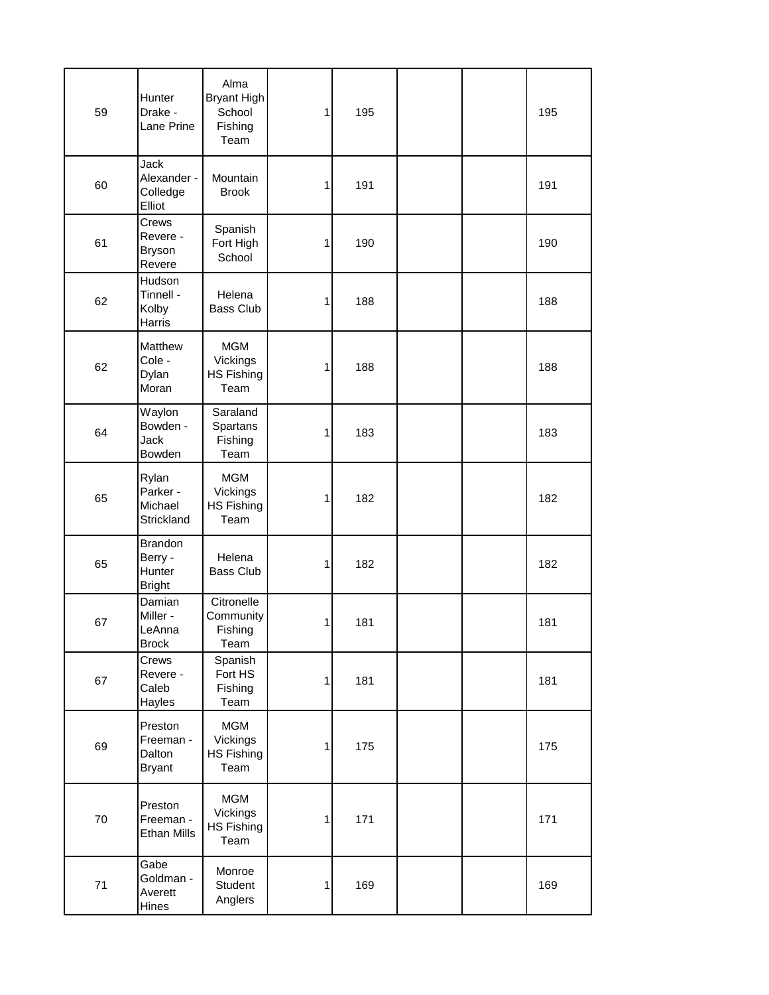| 59 | Hunter<br>Drake -<br>Lane Prine                      | Alma<br>Bryant High<br>School<br>Fishing<br>Team    | 1 | 195 |  | 195 |  |
|----|------------------------------------------------------|-----------------------------------------------------|---|-----|--|-----|--|
| 60 | Jack<br>Alexander -<br>Colledge<br>Elliot            | Mountain<br><b>Brook</b>                            | 1 | 191 |  | 191 |  |
| 61 | Crews<br>Revere -<br><b>Bryson</b><br>Revere         | Spanish<br>Fort High<br>School                      | 1 | 190 |  | 190 |  |
| 62 | Hudson<br>Tinnell -<br>Kolby<br>Harris               | Helena<br><b>Bass Club</b>                          | 1 | 188 |  | 188 |  |
| 62 | Matthew<br>Cole -<br>Dylan<br>Moran                  | <b>MGM</b><br>Vickings<br><b>HS Fishing</b><br>Team | 1 | 188 |  | 188 |  |
| 64 | Waylon<br>Bowden -<br>Jack<br>Bowden                 | Saraland<br>Spartans<br>Fishing<br>Team             | 1 | 183 |  | 183 |  |
| 65 | Rylan<br>Parker -<br>Michael<br>Strickland           | <b>MGM</b><br>Vickings<br><b>HS Fishing</b><br>Team | 1 | 182 |  | 182 |  |
| 65 | <b>Brandon</b><br>Berry -<br>Hunter<br><b>Bright</b> | Helena<br>Bass Club                                 | 1 | 182 |  | 182 |  |
| 67 | Damian<br>Miller -<br>LeAnna<br><b>Brock</b>         | Citronelle<br>Community<br>Fishing<br>Team          | 1 | 181 |  | 181 |  |
| 67 | Crews<br>Revere -<br>Caleb<br>Hayles                 | Spanish<br>Fort HS<br>Fishing<br>Team               | 1 | 181 |  | 181 |  |
| 69 | Preston<br>Freeman -<br>Dalton<br><b>Bryant</b>      | <b>MGM</b><br>Vickings<br>HS Fishing<br>Team        | 1 | 175 |  | 175 |  |
| 70 | Preston<br>Freeman -<br>Ethan Mills                  | <b>MGM</b><br>Vickings<br><b>HS Fishing</b><br>Team | 1 | 171 |  | 171 |  |
| 71 | Gabe<br>Goldman -<br>Averett<br>Hines                | Monroe<br>Student<br>Anglers                        | 1 | 169 |  | 169 |  |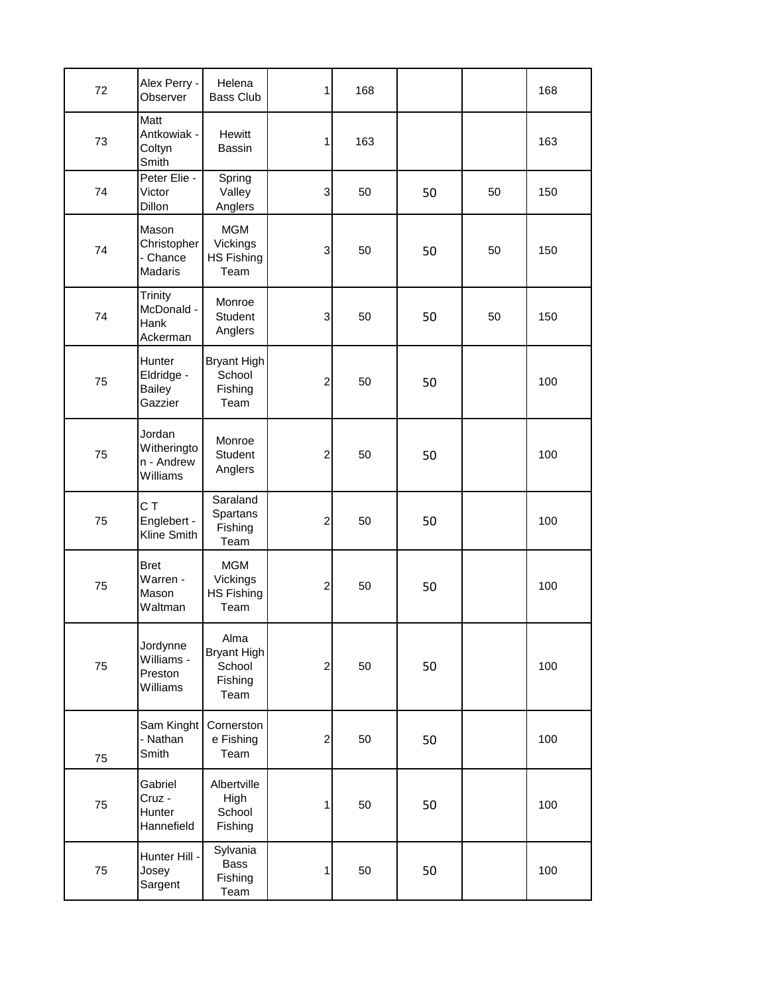| 72 | Alex Perry -<br>Observer                           | Helena<br>Bass Club                                     | 1              | 168 |    |    | 168 |
|----|----------------------------------------------------|---------------------------------------------------------|----------------|-----|----|----|-----|
| 73 | Matt<br>Antkowiak -<br>Coltyn<br>Smith             | <b>Hewitt</b><br><b>Bassin</b>                          | 1              | 163 |    |    | 163 |
| 74 | Peter Elie -<br>Victor<br>Dillon                   | Spring<br>Valley<br>Anglers                             | 3              | 50  | 50 | 50 | 150 |
| 74 | Mason<br>Christopher<br>- Chance<br><b>Madaris</b> | <b>MGM</b><br>Vickings<br><b>HS Fishing</b><br>Team     | 3              | 50  | 50 | 50 | 150 |
| 74 | Trinity<br>McDonald -<br>Hank<br>Ackerman          | Monroe<br><b>Student</b><br>Anglers                     | 3              | 50  | 50 | 50 | 150 |
| 75 | Hunter<br>Eldridge -<br><b>Bailey</b><br>Gazzier   | Bryant High<br>School<br>Fishing<br>Team                | $\overline{c}$ | 50  | 50 |    | 100 |
| 75 | Jordan<br>Witheringto<br>n - Andrew<br>Williams    | Monroe<br>Student<br>Anglers                            | $\overline{c}$ | 50  | 50 |    | 100 |
| 75 | C T<br>Englebert -<br>Kline Smith                  | Saraland<br>Spartans<br>Fishing<br>Team                 | $\overline{c}$ | 50  | 50 |    | 100 |
| 75 | <b>Bret</b><br>Warren -<br>Mason<br>Waltman        | <b>MGM</b><br>Vickings<br><b>HS Fishing</b><br>Team     | $\overline{c}$ | 50  | 50 |    | 100 |
| 75 | Jordynne<br>Williams -<br>Preston<br>Williams      | Alma<br><b>Bryant High</b><br>School<br>Fishing<br>Team | $\overline{c}$ | 50  | 50 |    | 100 |
| 75 | Sam Kinght<br>- Nathan<br>Smith                    | Cornerston<br>e Fishing<br>Team                         | $\overline{c}$ | 50  | 50 |    | 100 |
| 75 | Gabriel<br>Cruz -<br>Hunter<br>Hannefield          | Albertville<br>High<br>School<br>Fishing                | 1              | 50  | 50 |    | 100 |
| 75 | Hunter Hill -<br>Josey<br>Sargent                  | Sylvania<br>Bass<br>Fishing<br>Team                     | 1              | 50  | 50 |    | 100 |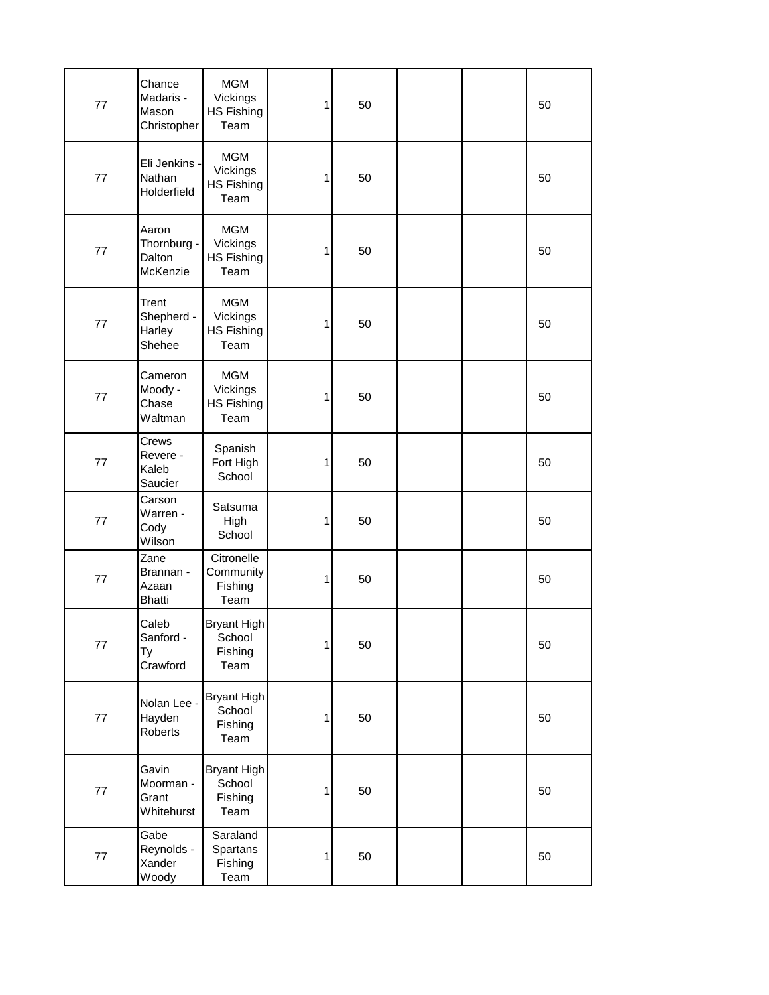| 77      | Chance<br>Madaris -<br>Mason<br>Christopher | <b>MGM</b><br>Vickings<br><b>HS Fishing</b><br>Team | 1            | 50 |  | 50 |
|---------|---------------------------------------------|-----------------------------------------------------|--------------|----|--|----|
| 77      | Eli Jenkins -<br>Nathan<br>Holderfield      | <b>MGM</b><br>Vickings<br><b>HS Fishing</b><br>Team | 1            | 50 |  | 50 |
| 77      | Aaron<br>Thornburg -<br>Dalton<br>McKenzie  | <b>MGM</b><br>Vickings<br><b>HS Fishing</b><br>Team | 1            | 50 |  | 50 |
| 77      | Trent<br>Shepherd -<br>Harley<br>Shehee     | <b>MGM</b><br>Vickings<br><b>HS Fishing</b><br>Team | 1            | 50 |  | 50 |
| 77      | Cameron<br>Moody -<br>Chase<br>Waltman      | <b>MGM</b><br>Vickings<br>HS Fishing<br>Team        | 1            | 50 |  | 50 |
| 77      | Crews<br>Revere -<br>Kaleb<br>Saucier       | Spanish<br>Fort High<br>School                      | 1            | 50 |  | 50 |
| 77      | Carson<br>Warren -<br>Cody<br>Wilson        | Satsuma<br>High<br>School                           | 1            | 50 |  | 50 |
| 77      | Zane<br>Brannan -<br>Azaan<br><b>Bhatti</b> | Citronelle<br>Community<br>Fishing<br>Team          | 1            | 50 |  | 50 |
| 77      | Caleb<br>Sanford -<br>Ty<br>Crawford        | Bryant High<br>School<br>Fishing<br>Team            | $\mathbf{1}$ | 50 |  | 50 |
| $77 \,$ | Nolan Lee -<br>Hayden<br>Roberts            | Bryant High<br>School<br>Fishing<br>Team            | 1            | 50 |  | 50 |
| 77      | Gavin<br>Moorman -<br>Grant<br>Whitehurst   | Bryant High<br>School<br>Fishing<br>Team            | 1            | 50 |  | 50 |
| $77 \,$ | Gabe<br>Reynolds -<br>Xander<br>Woody       | Saraland<br>Spartans<br>Fishing<br>Team             | 1            | 50 |  | 50 |